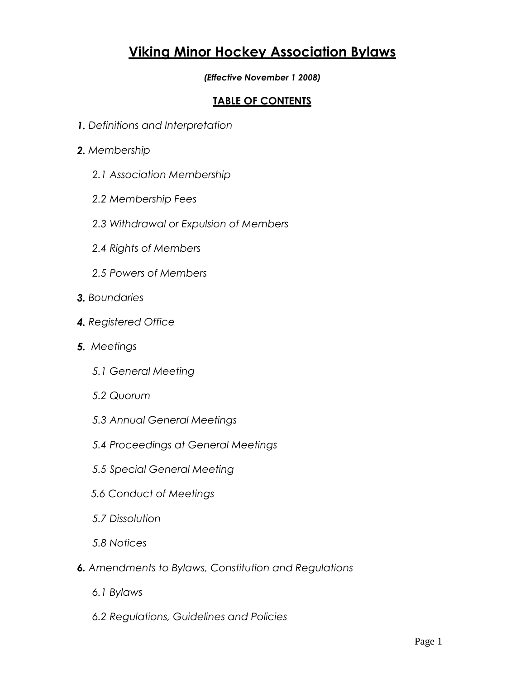# **Viking Minor Hockey Association Bylaws**

*(Effective November 1 2008)*

### **TABLE OF CONTENTS**

- *1. Definitions and Interpretation*
- *2. Membership*
	- *2.1 Association Membership*
	- *2.2 Membership Fees*
	- *2.3 Withdrawal or Expulsion of Members*
	- *2.4 Rights of Members*
	- *2.5 Powers of Members*
- *3. Boundaries*
- *4. Registered Office*
- *5. Meetings*
	- *5.1 General Meeting*
	- *5.2 Quorum*
	- *5.3 Annual General Meetings*
	- *5.4 Proceedings at General Meetings*
	- *5.5 Special General Meeting*
	- *5.6 Conduct of Meetings*
	- *5.7 Dissolution*
	- *5.8 Notices*
- *6. Amendments to Bylaws, Constitution and Regulations*
	- *6.1 Bylaws*
	- *6.2 Regulations, Guidelines and Policies*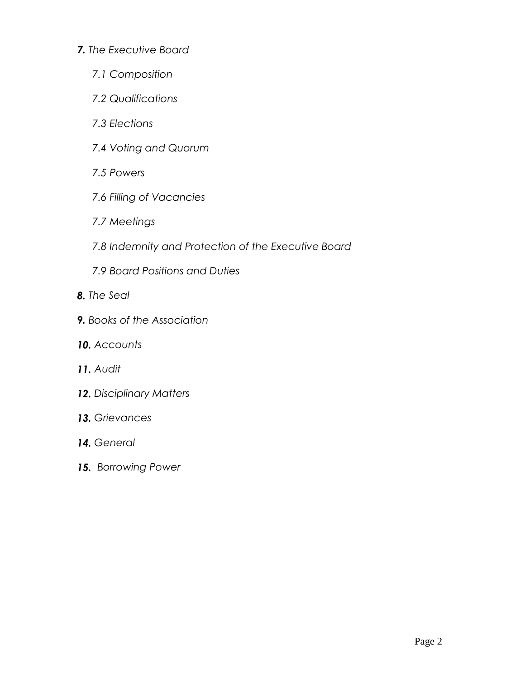#### *7. The Executive Board*

- *7.1 Composition*
- *7.2 Qualifications*
- *7.3 Elections*
- *7.4 Voting and Quorum*
- *7.5 Powers*
- *7.6 Filling of Vacancies*
- *7.7 Meetings*
- *7.8 Indemnity and Protection of the Executive Board*
- *7.9 Board Positions and Duties*
- *8. The Seal*
- *9. Books of the Association*
- *10. Accounts*
- *11. Audit*
- *12. Disciplinary Matters*
- *13. Grievances*
- *14. General*
- *15. Borrowing Power*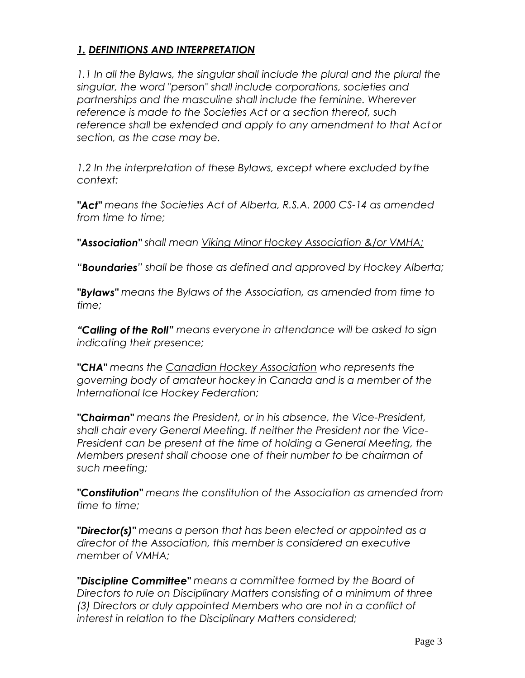# *1. DEFINITIONS AND INTERPRETATION*

1.1 In all the Bylaws, the singular shall include the plural and the plural the *singular, the word "person" shall include corporations, societies and partnerships and the masculine shall include the feminine. Wherever reference is made to the Societies Act or a section thereof, such reference shall be extended and apply to any amendment to that Actor section, as the case may be.*

1.2 In the interpretation of these Bylaws, except where excluded by the *context:*

*"Act" means the Societies Act of Alberta, R.S.A. 2000 CS-14 as amended from time to time;*

*"Association" shall mean Viking Minor Hockey Association &/or VMHA;*

*"Boundaries" shall be those as defined and approved by Hockey Alberta;*

*"Bylaws" means the Bylaws of the Association, as amended from time to time;*

*"Calling of the Roll" means everyone in attendance will be asked to sign indicating their presence;*

*"CHA" means the Canadian Hockey Association who represents the governing body of amateur hockey in Canada and is a member of the International Ice Hockey Federation;*

*"Chairman" means the President, or in his absence, the Vice-President, shall chair every General Meeting. If neither the President nor the Vice-President can be present at the time of holding a General Meeting, the Members present shall choose one of their number to be chairman of such meeting;*

*"Constitution" means the constitution of the Association as amended from time to time;*

*"Director(s)" means a person that has been elected or appointed as a director of the Association, this member is considered an executive member of VMHA;*

*"Discipline Committee" means a committee formed by the Board of Directors to rule on Disciplinary Matters consisting of a minimum of three (3) Directors or duly appointed Members who are not in a conflict of interest in relation to the Disciplinary Matters considered;*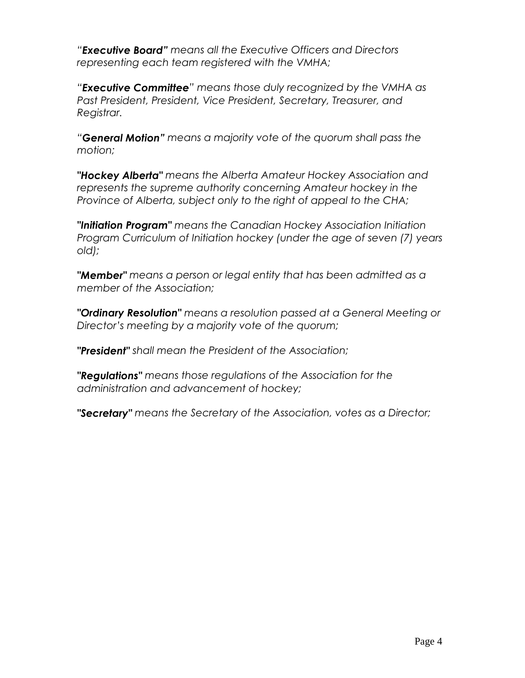*"Executive Board" means all the Executive Officers and Directors representing each team registered with the VMHA;*

*"Executive Committee" means those duly recognized by the VMHA as Past President, President, Vice President, Secretary, Treasurer, and Registrar.*

*"General Motion" means a majority vote of the quorum shall pass the motion;*

*"Hockey Alberta" means the Alberta Amateur Hockey Association and represents the supreme authority concerning Amateur hockey in the Province of Alberta, subject only to the right of appeal to the CHA;*

*"Initiation Program" means the Canadian Hockey Association Initiation Program Curriculum of Initiation hockey (under the age of seven (7) years old);*

*"Member" means a person or legal entity that has been admitted as a member of the Association;*

*"Ordinary Resolution" means a resolution passed at a General Meeting or Director's meeting by a majority vote of the quorum;*

*"President" shall mean the President of the Association;*

*"Regulations" means those regulations of the Association for the administration and advancement of hockey;*

*"Secretary" means the Secretary of the Association, votes as a Director;*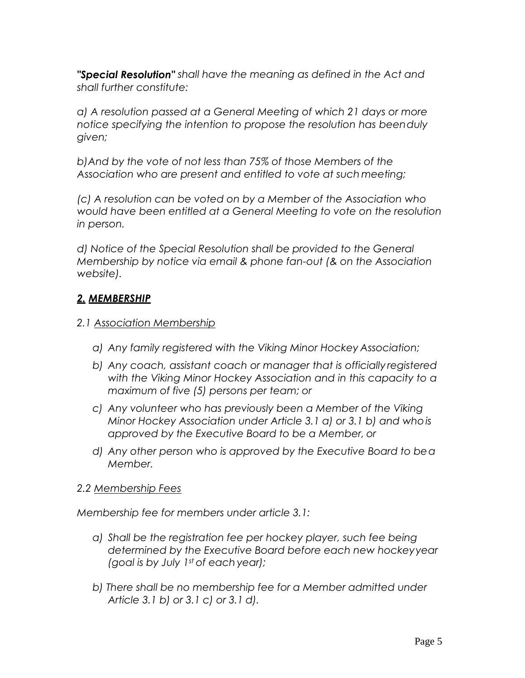*"Special Resolution" shall have the meaning as defined in the Act and shall further constitute:*

*a) A resolution passed at a General Meeting of which 21 days or more notice specifying the intention to propose the resolution has beenduly given;*

*b)And by the vote of not less than 75% of those Members of the Association who are present and entitled to vote at such meeting;*

*(c) A resolution can be voted on by a Member of the Association who would have been entitled at a General Meeting to vote on the resolution in person.*

*d) Notice of the Special Resolution shall be provided to the General Membership by notice via email & phone fan-out (& on the Association website).*

# *2. MEMBERSHIP*

- *2.1 Association Membership*
	- *a) Any family registered with the Viking Minor Hockey Association;*
	- *b) Any coach, assistant coach or manager that is officially registered with the Viking Minor Hockey Association and in this capacity to a maximum of five (5) persons per team; or*
	- *c) Any volunteer who has previously been a Member of the Viking Minor Hockey Association under Article 3.1 a) or 3.1 b) and whois approved by the Executive Board to be a Member, or*
	- *d) Any other person who is approved by the Executive Board to bea Member.*

# *2.2 Membership Fees*

*Membership fee for members under article 3.1:*

- *a) Shall be the registration fee per hockey player, such fee being determined by the Executive Board before each new hockeyyear (goal is by July 1st of each year);*
- *b) There shall be no membership fee for a Member admitted under Article 3.1 b) or 3.1 c) or 3.1 d).*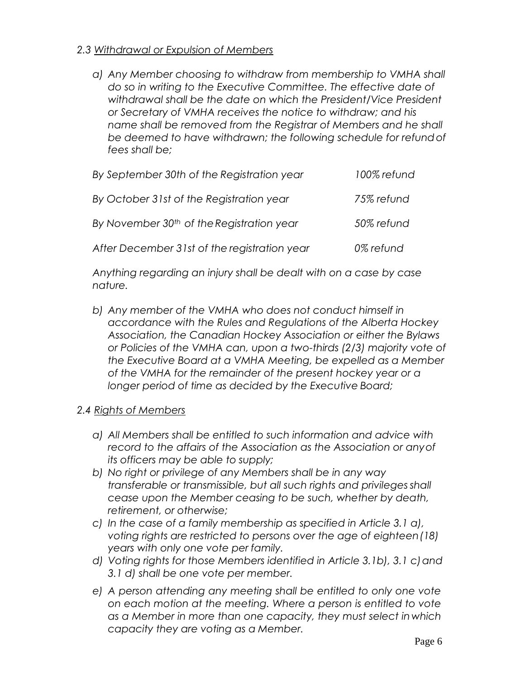#### *2.3 Withdrawal or Expulsion of Members*

*a) Any Member choosing to withdraw from membership to VMHA shall do so in writing to the Executive Committee. The effective date of withdrawal shall be the date on which the President/Vice President or Secretary of VMHA receives the notice to withdraw; and his name shall be removed from the Registrar of Members and he shall be deemed to have withdrawn; the following schedule for refundof fees shall be;*

| By September 30th of the Registration year            | 100% refund |
|-------------------------------------------------------|-------------|
| By October 31st of the Registration year              | 75% refund  |
| By November 30 <sup>th</sup> of the Registration year | 50% refund  |
| After December 31st of the registration year          | 0% refund   |

*Anything regarding an injury shall be dealt with on a case by case nature.*

*b) Any member of the VMHA who does not conduct himself in accordance with the Rules and Regulations of the Alberta Hockey Association, the Canadian Hockey Association or either the Bylaws or Policies of the VMHA can, upon a two-thirds (2/3) majority vote of the Executive Board at a VMHA Meeting, be expelled as a Member of the VMHA for the remainder of the present hockey year or a longer period of time as decided by the Executive Board;*

#### *2.4 Rights of Members*

- *a) All Members shall be entitled to such information and advice with record to the affairs of the Association as the Association or anyof its officers may be able to supply;*
- *b) No right or privilege of any Members shall be in any way transferable or transmissible, but all such rights and privileges shall cease upon the Member ceasing to be such, whether by death, retirement, or otherwise;*
- *c) In the case of a family membership as specified in Article 3.1 a), voting rights are restricted to persons over the age of eighteen(18) years with only one vote per family.*
- d) Voting rights for those Members identified in Article 3.1b), 3.1 c) and *3.1 d) shall be one vote per member.*
- *e) A person attending any meeting shall be entitled to only one vote on each motion at the meeting. Where a person is entitled to vote as a Member in more than one capacity, they must select in which capacity they are voting as a Member.*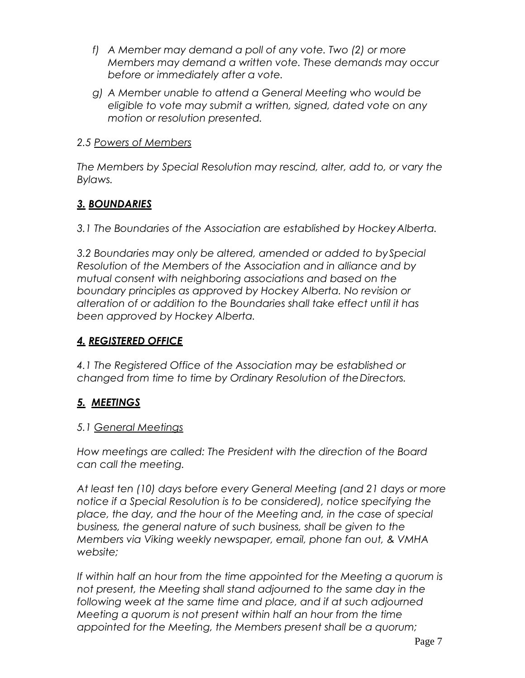- *f) A Member may demand a poll of any vote. Two (2) or more Members may demand a written vote. These demands may occur before or immediately after a vote.*
- *g) A Member unable to attend a General Meeting who would be eligible to vote may submit a written, signed, dated vote on any motion or resolution presented.*

### *2.5 Powers of Members*

*The Members by Special Resolution may rescind, alter, add to, or vary the Bylaws.*

# *3. BOUNDARIES*

*3.1 The Boundaries of the Association are established by HockeyAlberta.*

*3.2 Boundaries may only be altered, amended or added to bySpecial Resolution of the Members of the Association and in alliance and by mutual consent with neighboring associations and based on the boundary principles as approved by Hockey Alberta. No revision or alteration of or addition to the Boundaries shall take effect until it has been approved by Hockey Alberta.*

# *4. REGISTERED OFFICE*

*4.1 The Registered Office of the Association may be established or changed from time to time by Ordinary Resolution of theDirectors.*

# *5. MEETINGS*

# *5.1 General Meetings*

*How meetings are called: The President with the direction of the Board can call the meeting.*

*At least ten (10) days before every General Meeting (and 21 days or more notice if a Special Resolution is to be considered), notice specifying the place, the day, and the hour of the Meeting and, in the case of special business, the general nature of such business, shall be given to the Members via Viking weekly newspaper, email, phone fan out, & VMHA website;*

*If within half an hour from the time appointed for the Meeting a quorum is not present, the Meeting shall stand adjourned to the same day in the*  following week at the same time and place, and if at such adjourned *Meeting a quorum is not present within half an hour from the time appointed for the Meeting, the Members present shall be a quorum;*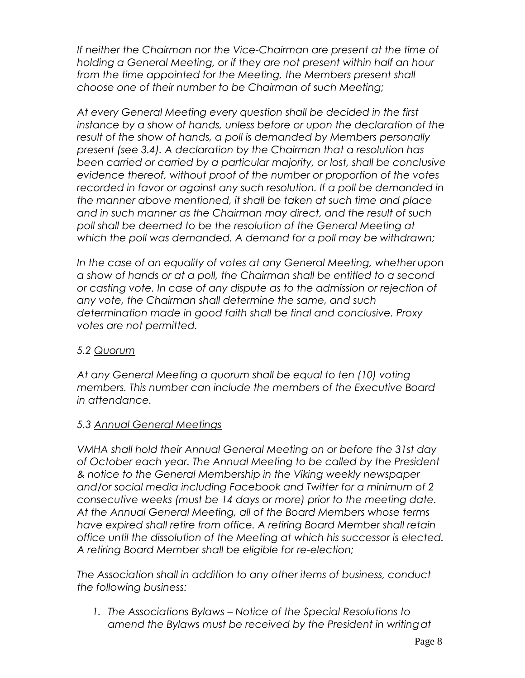*If neither the Chairman nor the Vice-Chairman are present at the time of holding a General Meeting, or if they are not present within half an hour*  from the time appointed for the Meeting, the Members present shall *choose one of their number to be Chairman of such Meeting;*

*At every General Meeting every question shall be decided in the first instance by a show of hands, unless before or upon the declaration of the result of the show of hands, a poll is demanded by Members personally present (see 3.4). A declaration by the Chairman that a resolution has been carried or carried by a particular majority, or lost, shall be conclusive evidence thereof, without proof of the number or proportion of the votes recorded in favor or against any such resolution. If a poll be demanded in the manner above mentioned, it shall be taken at such time and place and in such manner as the Chairman may direct, and the result of such poll shall be deemed to be the resolution of the General Meeting at which the poll was demanded. A demand for a poll may be withdrawn;*

*In the case of an equality of votes at any General Meeting, whetherupon a show of hands or at a poll, the Chairman shall be entitled to a second or casting vote. In case of any dispute as to the admission or rejection of any vote, the Chairman shall determine the same, and such determination made in good faith shall be final and conclusive. Proxy votes are not permitted.*

#### *5.2 Quorum*

*At any General Meeting a quorum shall be equal to ten (10) voting members. This number can include the members of the Executive Board in attendance.*

# *5.3 Annual General Meetings*

*VMHA shall hold their Annual General Meeting on or before the 31st day of October each year. The Annual Meeting to be called by the President & notice to the General Membership in the Viking weekly newspaper and/or social media including Facebook and Twitter for a minimum of 2 consecutive weeks (must be 14 days or more) prior to the meeting date. At the Annual General Meeting, all of the Board Members whose terms have expired shall retire from office. A retiring Board Member shall retain office until the dissolution of the Meeting at which his successor is elected. A retiring Board Member shall be eligible for re-election;*

*The Association shall in addition to any other items of business, conduct the following business:*

*1. The Associations Bylaws – Notice of the Special Resolutions to amend the Bylaws must be received by the President in writingat*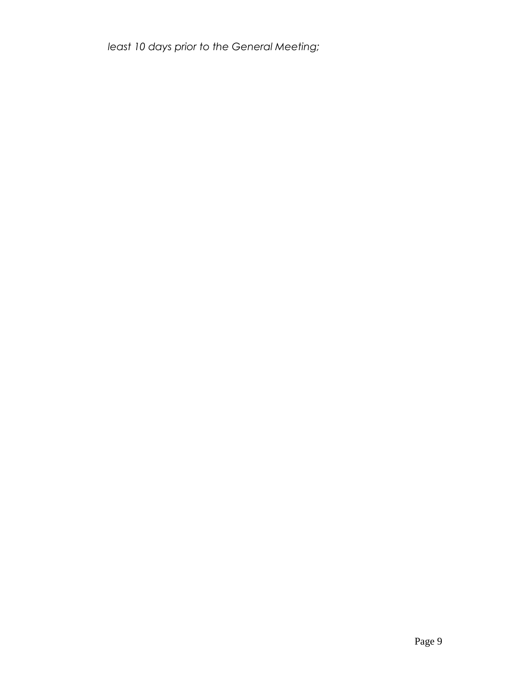*least 10 days prior to the General Meeting;*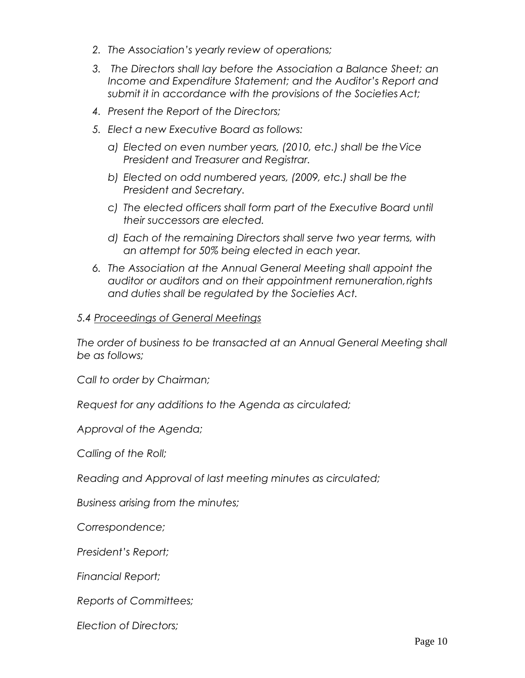- *2. The Association's yearly review of operations;*
- *3. The Directors shall lay before the Association a Balance Sheet; an Income and Expenditure Statement; and the Auditor's Report and submit it in accordance with the provisions of the Societies Act;*
- *4. Present the Report of the Directors;*
- *5. Elect a new Executive Board as follows:*
	- *a) Elected on even number years, (2010, etc.) shall be theVice President and Treasurer and Registrar.*
	- *b) Elected on odd numbered years, (2009, etc.) shall be the President and Secretary.*
	- *c) The elected officers shall form part of the Executive Board until their successors are elected.*
	- *d) Each of the remaining Directors shall serve two year terms, with an attempt for 50% being elected in each year.*
- *6. The Association at the Annual General Meeting shall appoint the auditor or auditors and on their appointment remuneration,rights and duties shall be regulated by the Societies Act.*

#### *5.4 Proceedings of General Meetings*

*The order of business to be transacted at an Annual General Meeting shall be as follows;*

*Call to order by Chairman;*

*Request for any additions to the Agenda as circulated;* 

*Approval of the Agenda;*

*Calling of the Roll;*

*Reading and Approval of last meeting minutes as circulated;* 

*Business arising from the minutes;*

*Correspondence;* 

*President's Report;* 

*Financial Report;* 

*Reports of Committees;*

*Election of Directors;*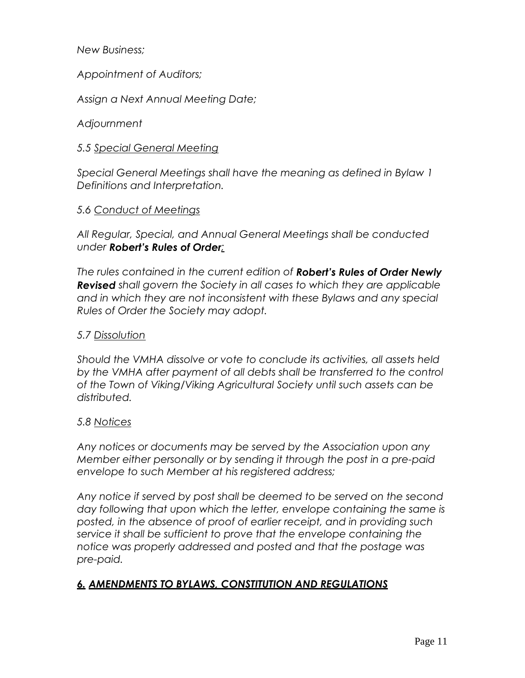*New Business;* 

*Appointment of Auditors;*

*Assign a Next Annual Meeting Date;* 

#### *Adjournment*

#### *5.5 Special General Meeting*

*Special General Meetings shall have the meaning as defined in Bylaw 1 Definitions and Interpretation.*

#### *5.6 Conduct of Meetings*

*All Regular, Special, and Annual General Meetings shall be conducted under Robert's Rules of Order;*

*The rules contained in the current edition of Robert's Rules of Order Newly Revised shall govern the Society in all cases to which they are applicable and in which they are not inconsistent with these Bylaws and any special Rules of Order the Society may adopt.*

#### *5.7 Dissolution*

*Should the VMHA dissolve or vote to conclude its activities, all assets held*  by the VMHA after payment of all debts shall be transferred to the control *of the Town of Viking/Viking Agricultural Society until such assets can be distributed.*

#### *5.8 Notices*

*Any notices or documents may be served by the Association upon any Member either personally or by sending it through the post in a pre-paid envelope to such Member at his registered address;*

*Any notice if served by post shall be deemed to be served on the second day following that upon which the letter, envelope containing the same is posted, in the absence of proof of earlier receipt, and in providing such service it shall be sufficient to prove that the envelope containing the notice was properly addressed and posted and that the postage was pre-paid.*

# *6. AMENDMENTS TO BYLAWS, CONSTITUTION AND REGULATIONS*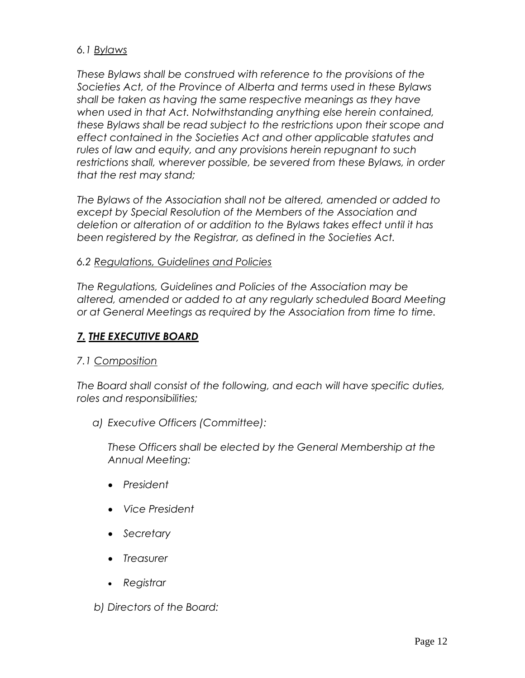#### *6.1 Bylaws*

*These Bylaws shall be construed with reference to the provisions of the Societies Act, of the Province of Alberta and terms used in these Bylaws shall be taken as having the same respective meanings as they have when used in that Act. Notwithstanding anything else herein contained, these Bylaws shall be read subject to the restrictions upon their scope and effect contained in the Societies Act and other applicable statutes and rules of law and equity, and any provisions herein repugnant to such restrictions shall, wherever possible, be severed from these Bylaws, in order that the rest may stand;*

*The Bylaws of the Association shall not be altered, amended or added to except by Special Resolution of the Members of the Association and deletion or alteration of or addition to the Bylaws takes effect until it has been registered by the Registrar, as defined in the Societies Act.*

#### *6.2 Regulations, Guidelines and Policies*

*The Regulations, Guidelines and Policies of the Association may be altered, amended or added to at any regularly scheduled Board Meeting or at General Meetings as required by the Association from time to time.*

### *7. THE EXECUTIVE BOARD*

#### *7.1 Composition*

*The Board shall consist of the following, and each will have specific duties, roles and responsibilities;*

*a) Executive Officers (Committee):*

*These Officers shall be elected by the General Membership at the Annual Meeting:*

- *President*
- *Vice President*
- *Secretary*
- *Treasurer*
- *Registrar*

*b) Directors of the Board:*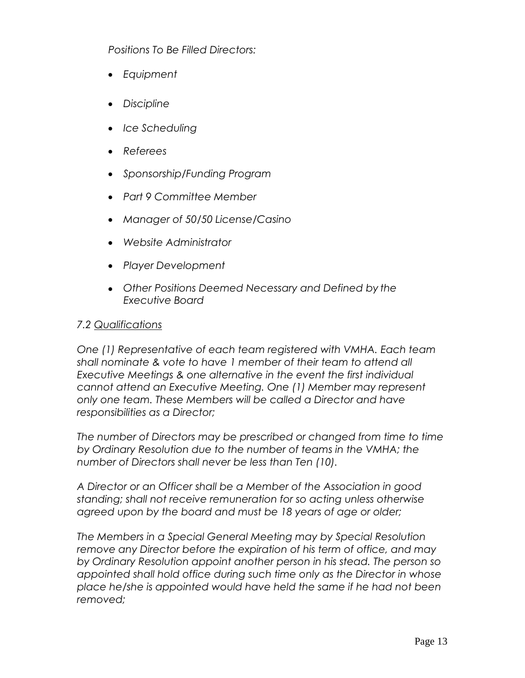*Positions To Be Filled Directors:*

- *Equipment*
- *Discipline*
- *Ice Scheduling*
- *Referees*
- *Sponsorship/Funding Program*
- *Part 9 Committee Member*
- *Manager of 50/50 License/Casino*
- *Website Administrator*
- *Player Development*
- *Other Positions Deemed Necessary and Defined by the Executive Board*

#### *7.2 Qualifications*

*One (1) Representative of each team registered with VMHA. Each team shall nominate & vote to have 1 member of their team to attend all Executive Meetings & one alternative in the event the first individual cannot attend an Executive Meeting. One (1) Member may represent only one team. These Members will be called a Director and have responsibilities as a Director;*

*The number of Directors may be prescribed or changed from time to time by Ordinary Resolution due to the number of teams in the VMHA; the number of Directors shall never be less than Ten (10).*

*A Director or an Officer shall be a Member of the Association in good standing; shall not receive remuneration for so acting unless otherwise agreed upon by the board and must be 18 years of age or older;*

*The Members in a Special General Meeting may by Special Resolution remove any Director before the expiration of his term of office, and may by Ordinary Resolution appoint another person in his stead. The person so appointed shall hold office during such time only as the Director in whose place he/she is appointed would have held the same if he had not been removed;*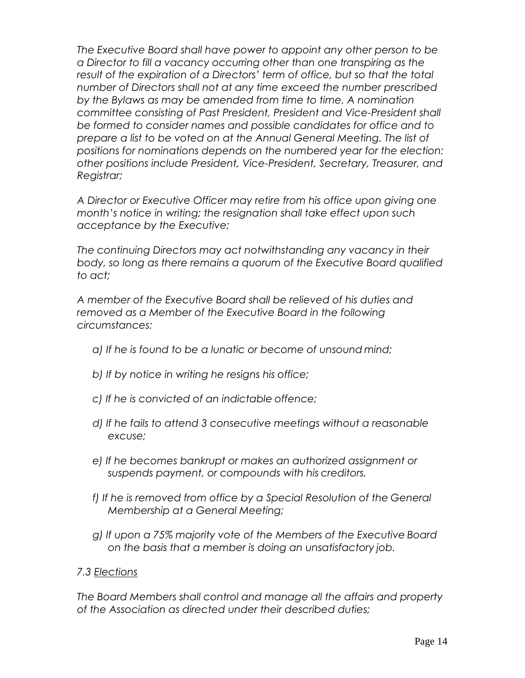*The Executive Board shall have power to appoint any other person to be a Director to fill a vacancy occurring other than one transpiring as the result of the expiration of a Directors' term of office, but so that the total number of Directors shall not at any time exceed the number prescribed by the Bylaws as may be amended from time to time. A nomination committee consisting of Past President, President and Vice-President shall be formed to consider names and possible candidates for office and to prepare a list to be voted on at the Annual General Meeting. The list of positions for nominations depends on the numbered year for the election: other positions include President, Vice-President, Secretary, Treasurer, and Registrar;*

*A Director or Executive Officer may retire from his office upon giving one month's notice in writing; the resignation shall take effect upon such acceptance by the Executive;*

*The continuing Directors may act notwithstanding any vacancy in their body, so long as there remains a quorum of the Executive Board qualified to act;*

*A member of the Executive Board shall be relieved of his duties and removed as a Member of the Executive Board in the following circumstances:*

- *a) If he is found to be a lunatic or become of unsound mind;*
- *b) If by notice in writing he resigns his office;*
- *c) If he is convicted of an indictable offence;*
- *d) If he fails to attend 3 consecutive meetings without a reasonable excuse;*
- *e) If he becomes bankrupt or makes an authorized assignment or suspends payment, or compounds with his creditors.*
- *f) If he is removed from office by a Special Resolution of the General Membership at a General Meeting;*
- *g) If upon a 75% majority vote of the Members of the Executive Board on the basis that a member is doing an unsatisfactory job.*

#### *7.3 Elections*

*The Board Members shall control and manage all the affairs and property of the Association as directed under their described duties;*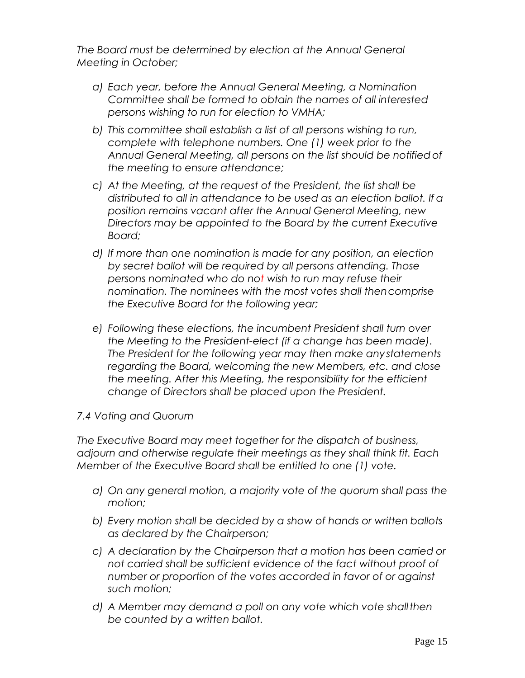*The Board must be determined by election at the Annual General Meeting in October;*

- *a) Each year, before the Annual General Meeting, a Nomination Committee shall be formed to obtain the names of all interested persons wishing to run for election to VMHA;*
- *b) This committee shall establish a list of all persons wishing to run, complete with telephone numbers. One (1) week prior to the Annual General Meeting, all persons on the list should be notifiedof the meeting to ensure attendance;*
- *c) At the Meeting, at the request of the President, the list shall be distributed to all in attendance to be used as an election ballot. If a position remains vacant after the Annual General Meeting, new Directors may be appointed to the Board by the current Executive Board;*
- *d) If more than one nomination is made for any position, an election by secret ballot will be required by all persons attending. Those persons nominated who do not wish to run may refuse their nomination. The nominees with the most votes shall thencomprise the Executive Board for the following year;*
- *e) Following these elections, the incumbent President shall turn over the Meeting to the President-elect (if a change has been made). The President for the following year may then make anystatements regarding the Board, welcoming the new Members, etc. and close the meeting. After this Meeting, the responsibility for the efficient change of Directors shall be placed upon the President.*

#### *7.4 Voting and Quorum*

*The Executive Board may meet together for the dispatch of business, adjourn and otherwise regulate their meetings as they shall think fit. Each Member of the Executive Board shall be entitled to one (1) vote.*

- *a) On any general motion, a majority vote of the quorum shall pass the motion;*
- *b) Every motion shall be decided by a show of hands or written ballots as declared by the Chairperson;*
- *c) A declaration by the Chairperson that a motion has been carried or not carried shall be sufficient evidence of the fact without proof of number or proportion of the votes accorded in favor of or against such motion;*
- *d) A Member may demand a poll on any vote which vote shallthen be counted by a written ballot.*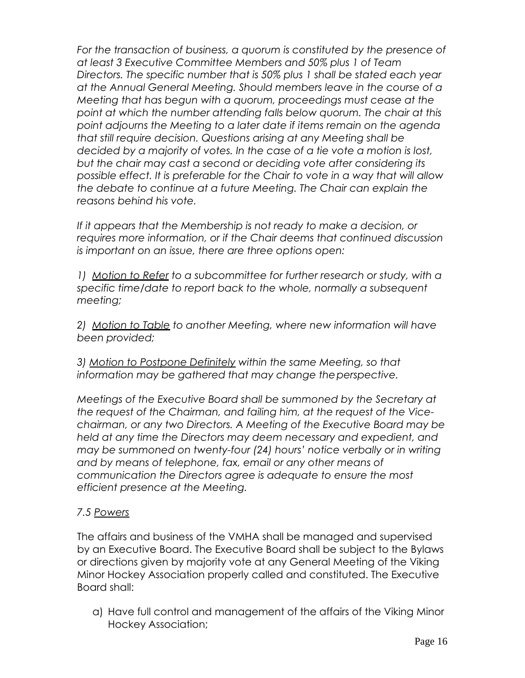*For the transaction of business, a quorum is constituted by the presence of at least 3 Executive Committee Members and 50% plus 1 of Team Directors. The specific number that is 50% plus 1 shall be stated each year at the Annual General Meeting. Should members leave in the course of a Meeting that has begun with a quorum, proceedings must cease at the point at which the number attending falls below quorum. The chair at this point adjourns the Meeting to a later date if items remain on the agenda that still require decision. Questions arising at any Meeting shall be decided by a majority of votes. In the case of a tie vote a motion is lost, but the chair may cast a second or deciding vote after considering its possible effect. It is preferable for the Chair to vote in a way that will allow the debate to continue at a future Meeting. The Chair can explain the reasons behind his vote.*

*If it appears that the Membership is not ready to make a decision, or requires more information, or if the Chair deems that continued discussion is important on an issue, there are three options open:*

*1) Motion to Refer to a subcommittee for further research or study, with a specific time/date to report back to the whole, normally a subsequent meeting;*

*2) Motion to Table to another Meeting, where new information will have been provided;*

*3) Motion to Postpone Definitely within the same Meeting, so that information may be gathered that may change theperspective.*

*Meetings of the Executive Board shall be summoned by the Secretary at the request of the Chairman, and failing him, at the request of the Vicechairman, or any two Directors. A Meeting of the Executive Board may be held at any time the Directors may deem necessary and expedient, and may be summoned on twenty-four (24) hours' notice verbally or in writing and by means of telephone, fax, email or any other means of communication the Directors agree is adequate to ensure the most efficient presence at the Meeting.*

# *7.5 Powers*

The affairs and business of the VMHA shall be managed and supervised by an Executive Board. The Executive Board shall be subject to the Bylaws or directions given by majority vote at any General Meeting of the Viking Minor Hockey Association properly called and constituted. The Executive Board shall:

a) Have full control and management of the affairs of the Viking Minor Hockey Association;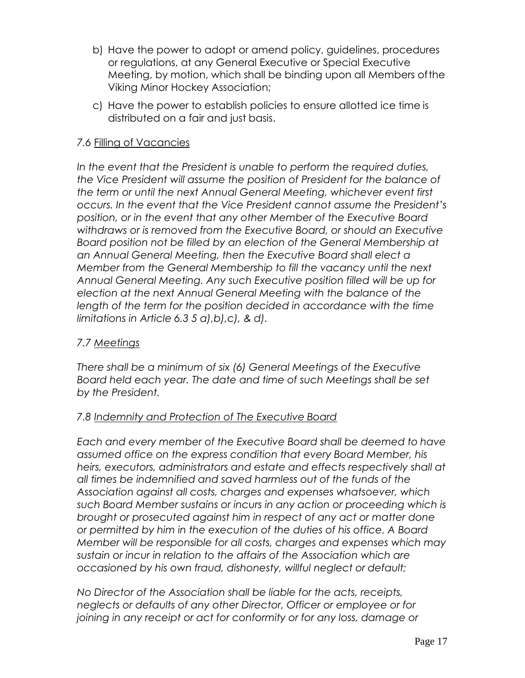- b) Have the power to adopt or amend policy, guidelines, procedures or regulations, at any General Executive or Special Executive Meeting, by motion, which shall be binding upon all Members ofthe Viking Minor Hockey Association;
- c) Have the power to establish policies to ensure allotted ice time is distributed on a fair and just basis.

### *7.6* Filling of Vacancies

*In the event that the President is unable to perform the required duties, the Vice President will assume the position of President for the balance of the term or until the next Annual General Meeting, whichever event first occurs. In the event that the Vice President cannot assume the President's position, or in the event that any other Member of the Executive Board withdraws or is removed from the Executive Board, or should an Executive Board position not be filled by an election of the General Membership at an Annual General Meeting, then the Executive Board shall elect a Member from the General Membership to fill the vacancy until the next Annual General Meeting. Any such Executive position filled will be up for election at the next Annual General Meeting with the balance of the*  length of the term for the position decided in accordance with the time *limitations in Article 6.3 5 a),b),c), & d).*

#### *7.7 Meetings*

*There shall be a minimum of six (6) General Meetings of the Executive Board held each year. The date and time of such Meetings shall be set by the President.*

#### *7.8 Indemnity and Protection of The Executive Board*

*Each and every member of the Executive Board shall be deemed to have assumed office on the express condition that every Board Member, his heirs, executors, administrators and estate and effects respectively shall at all times be indemnified and saved harmless out of the funds of the Association against all costs, charges and expenses whatsoever, which such Board Member sustains or incurs in any action or proceeding which is brought or prosecuted against him in respect of any act or matter done or permitted by him in the execution of the duties of his office. A Board Member will be responsible for all costs, charges and expenses which may sustain or incur in relation to the affairs of the Association which are occasioned by his own fraud, dishonesty, willful neglect or default;*

*No Director of the Association shall be liable for the acts, receipts, neglects or defaults of any other Director, Officer or employee or for joining in any receipt or act for conformity or for any loss, damage or*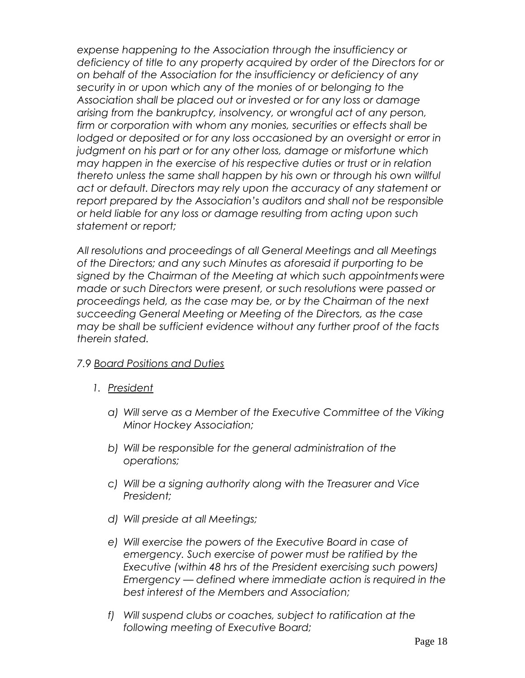*expense happening to the Association through the insufficiency or deficiency of title to any property acquired by order of the Directors for or on behalf of the Association for the insufficiency or deficiency of any security in or upon which any of the monies of or belonging to the Association shall be placed out or invested or for any loss or damage arising from the bankruptcy, insolvency, or wrongful act of any person, firm or corporation with whom any monies, securities or effects shall be*  lodged or deposited or for any loss occasioned by an oversight or error in *judgment on his part or for any other loss, damage or misfortune which may happen in the exercise of his respective duties or trust or in relation thereto unless the same shall happen by his own or through his own willful act or default. Directors may rely upon the accuracy of any statement or report prepared by the Association's auditors and shall not be responsible or held liable for any loss or damage resulting from acting upon such statement or report;*

*All resolutions and proceedings of all General Meetings and all Meetings of the Directors; and any such Minutes as aforesaid if purporting to be signed by the Chairman of the Meeting at which such appointments were made or such Directors were present, or such resolutions were passed or proceedings held, as the case may be, or by the Chairman of the next succeeding General Meeting or Meeting of the Directors, as the case may be shall be sufficient evidence without any further proof of the facts therein stated.*

#### *7.9 Board Positions and Duties*

- *1. President*
	- *a) Will serve as a Member of the Executive Committee of the Viking Minor Hockey Association;*
	- *b) Will be responsible for the general administration of the operations;*
	- *c) Will be a signing authority along with the Treasurer and Vice President;*
	- *d) Will preside at all Meetings;*
	- *e) Will exercise the powers of the Executive Board in case of emergency. Such exercise of power must be ratified by the Executive (within 48 hrs of the President exercising such powers) Emergency — defined where immediate action is required in the best interest of the Members and Association;*
	- *f) Will suspend clubs or coaches, subject to ratification at the following meeting of Executive Board;*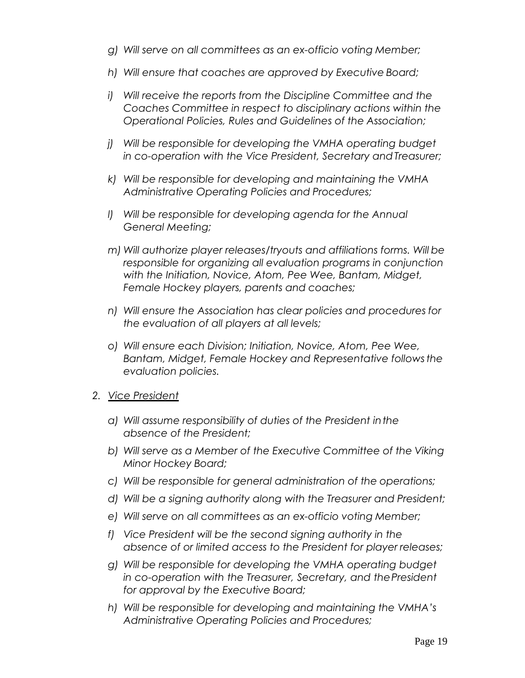- *g) Will serve on all committees as an ex-officio voting Member;*
- *h) Will ensure that coaches are approved by Executive Board;*
- *i) Will receive the reports from the Discipline Committee and the Coaches Committee in respect to disciplinary actions within the Operational Policies, Rules and Guidelines of the Association;*
- *j) Will be responsible for developing the VMHA operating budget in co-operation with the Vice President, Secretary andTreasurer;*
- *k) Will be responsible for developing and maintaining the VMHA Administrative Operating Policies and Procedures;*
- *l) Will be responsible for developing agenda for the Annual General Meeting;*
- *m) Will authorize player releases/tryouts and affiliations forms. Will be responsible for organizing all evaluation programs in conjunction with the Initiation, Novice, Atom, Pee Wee, Bantam, Midget, Female Hockey players, parents and coaches;*
- *n) Will ensure the Association has clear policies and procedures for the evaluation of all players at all levels;*
- *o) Will ensure each Division; Initiation, Novice, Atom, Pee Wee, Bantam, Midget, Female Hockey and Representative followsthe evaluation policies.*
- *2. Vice President*
	- *a) Will assume responsibility of duties of the President inthe absence of the President;*
	- *b) Will serve as a Member of the Executive Committee of the Viking Minor Hockey Board;*
	- *c) Will be responsible for general administration of the operations;*
	- *d) Will be a signing authority along with the Treasurer and President;*
	- *e) Will serve on all committees as an ex-officio voting Member;*
	- *f) Vice President will be the second signing authority in the absence of or limited access to the President for player releases;*
	- *g) Will be responsible for developing the VMHA operating budget in co-operation with the Treasurer, Secretary, and thePresident for approval by the Executive Board;*
	- *h) Will be responsible for developing and maintaining the VMHA's Administrative Operating Policies and Procedures;*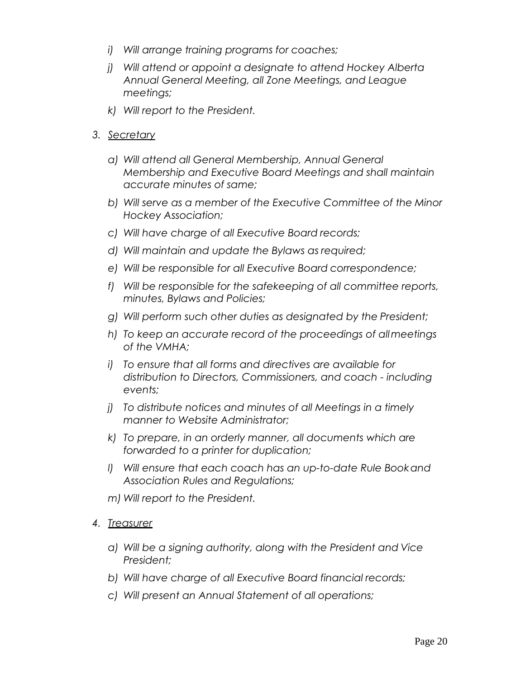- *i) Will arrange training programs for coaches;*
- *j) Will attend or appoint a designate to attend Hockey Alberta Annual General Meeting, all Zone Meetings, and League meetings;*
- *k) Will report to the President.*
- *3. Secretary*
	- *a) Will attend all General Membership, Annual General Membership and Executive Board Meetings and shall maintain accurate minutes of same;*
	- *b) Will serve as a member of the Executive Committee of the Minor Hockey Association;*
	- *c) Will have charge of all Executive Board records;*
	- *d) Will maintain and update the Bylaws as required;*
	- *e) Will be responsible for all Executive Board correspondence;*
	- *f) Will be responsible for the safekeeping of all committee reports, minutes, Bylaws and Policies;*
	- *g) Will perform such other duties as designated by the President;*
	- *h) To keep an accurate record of the proceedings of allmeetings of the VMHA;*
	- *i) To ensure that all forms and directives are available for distribution to Directors, Commissioners, and coach - including events;*
	- *j) To distribute notices and minutes of all Meetings in a timely manner to Website Administrator;*
	- *k) To prepare, in an orderly manner, all documents which are forwarded to a printer for duplication;*
	- *l) Will ensure that each coach has an up-to-date Rule Bookand Association Rules and Regulations;*
	- *m) Will report to the President.*
- *4. Treasurer*
	- *a) Will be a signing authority, along with the President and Vice President;*
	- *b) Will have charge of all Executive Board financial records;*
	- *c) Will present an Annual Statement of all operations;*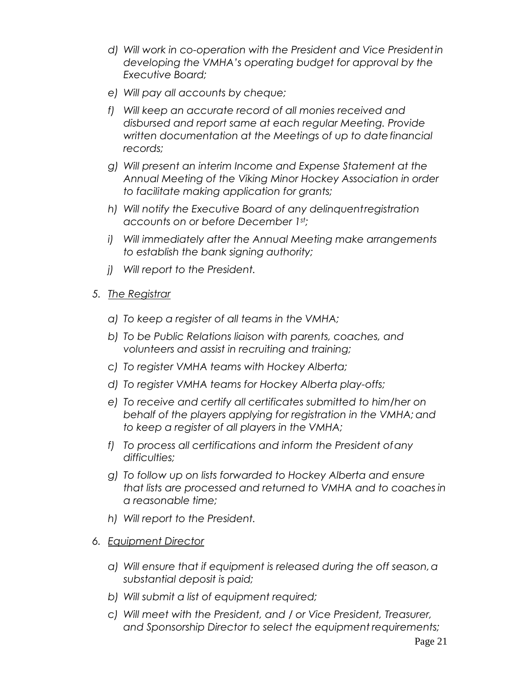- *d) Will work in co-operation with the President and Vice Presidentin developing the VMHA's operating budget for approval by the Executive Board;*
- *e) Will pay all accounts by cheque;*
- *f) Will keep an accurate record of all monies received and disbursed and report same at each regular Meeting. Provide written documentation at the Meetings of up to datefinancial records;*
- *g) Will present an interim Income and Expense Statement at the Annual Meeting of the Viking Minor Hockey Association in order to facilitate making application for grants;*
- *h) Will notify the Executive Board of any delinquentregistration accounts on or before December 1st;*
- *i) Will immediately after the Annual Meeting make arrangements to establish the bank signing authority;*
- *j) Will report to the President.*
- *5. The Registrar*
	- *a) To keep a register of all teams in the VMHA;*
	- *b) To be Public Relations liaison with parents, coaches, and volunteers and assist in recruiting and training;*
	- *c) To register VMHA teams with Hockey Alberta;*
	- *d) To register VMHA teams for Hockey Alberta play-offs;*
	- *e) To receive and certify all certificates submitted to him/her on*  behalf of the players applying for registration in the VMHA; and *to keep a register of all players in the VMHA;*
	- *f) To process all certifications and inform the President ofany difficulties;*
	- *g) To follow up on lists forwarded to Hockey Alberta and ensure that lists are processed and returned to VMHA and to coaches in a reasonable time;*
	- *h) Will report to the President.*
- *6. Equipment Director*
	- *a) Will ensure that if equipment is released during the off season,a substantial deposit is paid;*
	- *b) Will submit a list of equipment required;*
	- *c) Will meet with the President, and / or Vice President, Treasurer, and Sponsorship Director to select the equipment requirements;*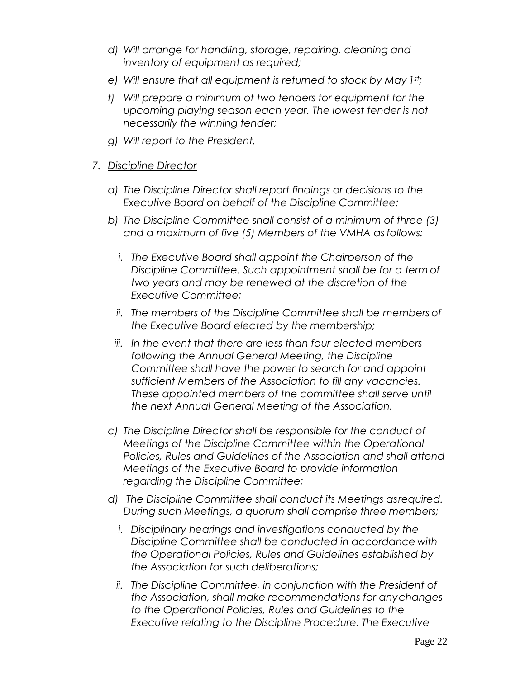- *d) Will arrange for handling, storage, repairing, cleaning and inventory of equipment as required;*
- *e) Will ensure that all equipment is returned to stock by May 1st;*
- *f) Will prepare a minimum of two tenders for equipment for the upcoming playing season each year. The lowest tender is not necessarily the winning tender;*
- *g) Will report to the President.*

#### *7. Discipline Director*

- *a) The Discipline Director shall report findings or decisions to the Executive Board on behalf of the Discipline Committee;*
- *b) The Discipline Committee shall consist of a minimum of three (3) and a maximum of five (5) Members of the VMHA as follows:*
	- *i. The Executive Board shall appoint the Chairperson of the Discipline Committee. Such appointment shall be for a term of two years and may be renewed at the discretion of the Executive Committee;*
	- *ii. The members of the Discipline Committee shall be members of the Executive Board elected by the membership;*
	- *iii. In the event that there are less than four elected members following the Annual General Meeting, the Discipline Committee shall have the power to search for and appoint sufficient Members of the Association to fill any vacancies. These appointed members of the committee shall serve until the next Annual General Meeting of the Association.*
- *c) The Discipline Director shall be responsible for the conduct of Meetings of the Discipline Committee within the Operational Policies, Rules and Guidelines of the Association and shall attend Meetings of the Executive Board to provide information regarding the Discipline Committee;*
- *d) The Discipline Committee shall conduct its Meetings asrequired. During such Meetings, a quorum shall comprise three members;*
	- *i. Disciplinary hearings and investigations conducted by the Discipline Committee shall be conducted in accordance with the Operational Policies, Rules and Guidelines established by the Association for such deliberations;*
	- *ii. The Discipline Committee, in conjunction with the President of the Association, shall make recommendations for anychanges to the Operational Policies, Rules and Guidelines to the Executive relating to the Discipline Procedure. The Executive*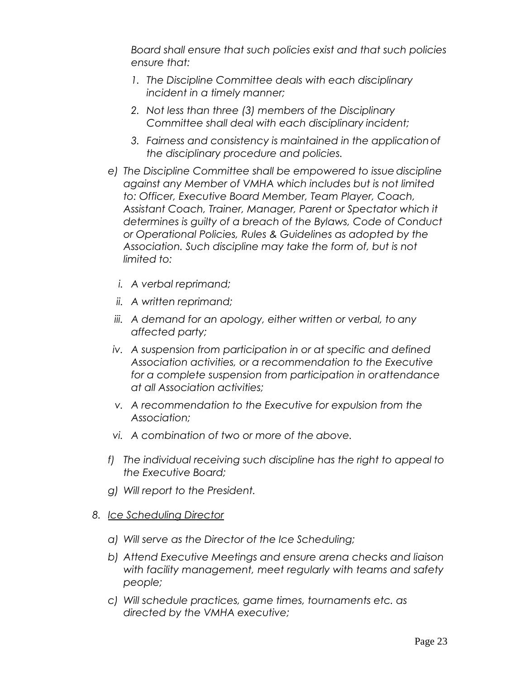*Board shall ensure that such policies exist and that such policies ensure that:*

- *1. The Discipline Committee deals with each disciplinary incident in a timely manner;*
- *2. Not less than three (3) members of the Disciplinary Committee shall deal with each disciplinary incident;*
- *3. Fairness and consistency is maintained in the applicationof the disciplinary procedure and policies.*
- e) The Discipline Committee shall be empowered to issue discipline *against any Member of VMHA which includes but is not limited to: Officer, Executive Board Member, Team Player, Coach, Assistant Coach, Trainer, Manager, Parent or Spectator which it determines is guilty of a breach of the Bylaws, Code of Conduct or Operational Policies, Rules & Guidelines as adopted by the Association. Such discipline may take the form of, but is not limited to:*
	- *i. A verbal reprimand;*
	- *ii. A written reprimand;*
	- *iii. A demand for an apology, either written or verbal, to any affected party;*
- *iv. A suspension from participation in or at specific and defined Association activities, or a recommendation to the Executive for a complete suspension from participation in orattendance at all Association activities;*
- *v. A recommendation to the Executive for expulsion from the Association;*
- *vi. A combination of two or more of the above.*
- *f) The individual receiving such discipline has the right to appeal to the Executive Board;*
- *g) Will report to the President.*
- *8. Ice Scheduling Director*
	- *a) Will serve as the Director of the Ice Scheduling;*
	- *b) Attend Executive Meetings and ensure arena checks and liaison with facility management, meet regularly with teams and safety people;*
	- *c) Will schedule practices, game times, tournaments etc. as directed by the VMHA executive;*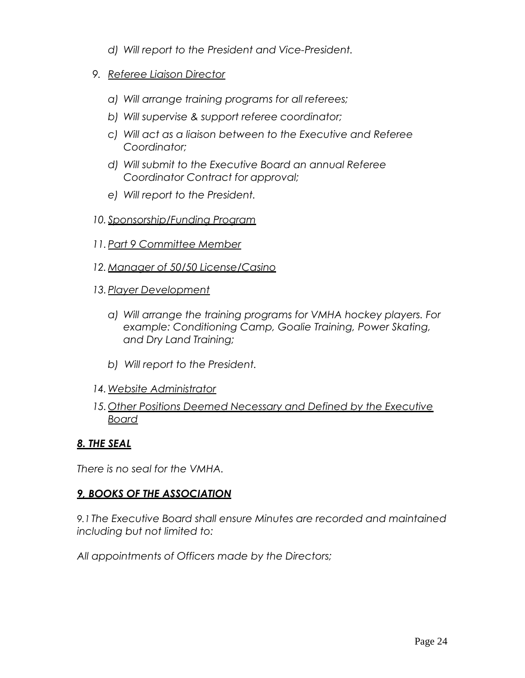- *d) Will report to the President and Vice-President.*
- *9. Referee Liaison Director*
	- *a) Will arrange training programs for all referees;*
	- *b) Will supervise & support referee coordinator;*
	- *c) Will act as a liaison between to the Executive and Referee Coordinator;*
	- *d) Will submit to the Executive Board an annual Referee Coordinator Contract for approval;*
	- *e) Will report to the President.*
- *10. Sponsorship/Funding Program*
- *11.Part 9 Committee Member*
- *12.Manager of 50/50 License/Casino*
- *13.Player Development*
	- *a) Will arrange the training programs for VMHA hockey players. For example: Conditioning Camp, Goalie Training, Power Skating, and Dry Land Training;*
	- *b) Will report to the President.*
- *14.Website Administrator*
- *15.Other Positions Deemed Necessary and Defined by the Executive Board*

#### *8. THE SEAL*

*There is no seal for the VMHA.*

#### *9, BOOKS OF THE ASSOCIATION*

*9.1 The Executive Board shall ensure Minutes are recorded and maintained including but not limited to:*

*All appointments of Officers made by the Directors;*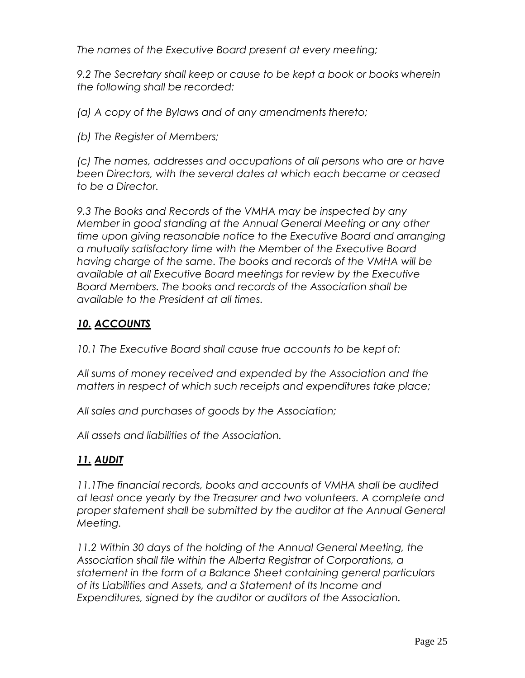*The names of the Executive Board present at every meeting;*

*9.2 The Secretary shall keep or cause to be kept a book or books wherein the following shall be recorded:*

*(a) A copy of the Bylaws and of any amendments thereto;*

*(b) The Register of Members;*

*(c) The names, addresses and occupations of all persons who are or have been Directors, with the several dates at which each became or ceased to be a Director.*

*9.3 The Books and Records of the VMHA may be inspected by any Member in good standing at the Annual General Meeting or any other time upon giving reasonable notice to the Executive Board and arranging a mutually satisfactory time with the Member of the Executive Board having charge of the same. The books and records of the VMHA will be available at all Executive Board meetings for review by the Executive Board Members. The books and records of the Association shall be available to the President at all times.*

# *10. ACCOUNTS*

*10.1 The Executive Board shall cause true accounts to be kept of:*

*All sums of money received and expended by the Association and the matters in respect of which such receipts and expenditures take place;*

*All sales and purchases of goods by the Association;* 

*All assets and liabilities of the Association.*

# *11. AUDIT*

*11.1The financial records, books and accounts of VMHA shall be audited at least once yearly by the Treasurer and two volunteers. A complete and proper statement shall be submitted by the auditor at the Annual General Meeting.*

*11.2 Within 30 days of the holding of the Annual General Meeting, the Association shall file within the Alberta Registrar of Corporations, a statement in the form of a Balance Sheet containing general particulars of its Liabilities and Assets, and a Statement of Its Income and Expenditures, signed by the auditor or auditors of the Association.*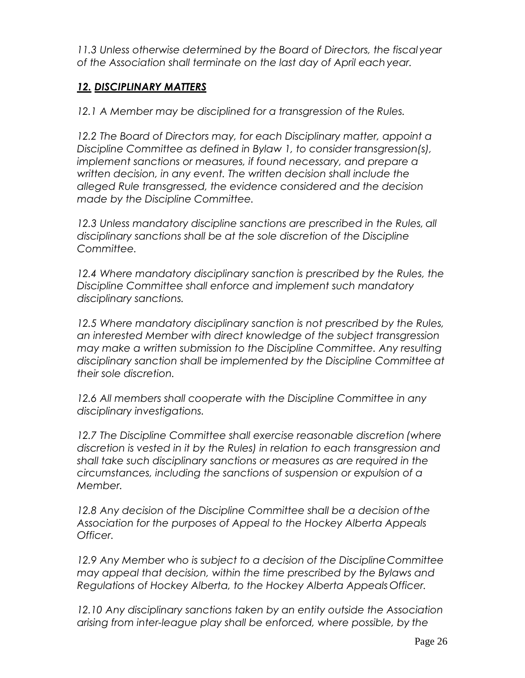*11.3 Unless otherwise determined by the Board of Directors, the fiscal year of the Association shall terminate on the last day of April eachyear.*

# *12. DISCIPLINARY MATTERS*

*12.1 A Member may be disciplined for a transgression of the Rules.*

*12.2 The Board of Directors may, for each Disciplinary matter, appoint a Discipline Committee as defined in Bylaw 1, to consider transgression(s), implement sanctions or measures, if found necessary, and prepare a written decision, in any event. The written decision shall include the alleged Rule transgressed, the evidence considered and the decision made by the Discipline Committee.*

*12.3 Unless mandatory discipline sanctions are prescribed in the Rules, all disciplinary sanctions shall be at the sole discretion of the Discipline Committee.*

*12.4 Where mandatory disciplinary sanction is prescribed by the Rules, the Discipline Committee shall enforce and implement such mandatory disciplinary sanctions.*

*12.5 Where mandatory disciplinary sanction is not prescribed by the Rules, an interested Member with direct knowledge of the subject transgression may make a written submission to the Discipline Committee. Any resulting disciplinary sanction shall be implemented by the Discipline Committee at their sole discretion.*

*12.6 All members shall cooperate with the Discipline Committee in any disciplinary investigations.*

*12.7 The Discipline Committee shall exercise reasonable discretion (where discretion is vested in it by the Rules) in relation to each transgression and shall take such disciplinary sanctions or measures as are required in the circumstances, including the sanctions of suspension or expulsion of a Member.*

*12.8 Any decision of the Discipline Committee shall be a decision ofthe Association for the purposes of Appeal to the Hockey Alberta Appeals Officer.*

*12.9 Any Member who is subject to a decision of the DisciplineCommittee may appeal that decision, within the time prescribed by the Bylaws and Regulations of Hockey Alberta, to the Hockey Alberta Appeals Officer.*

*12.10 Any disciplinary sanctions taken by an entity outside the Association arising from inter-league play shall be enforced, where possible, by the*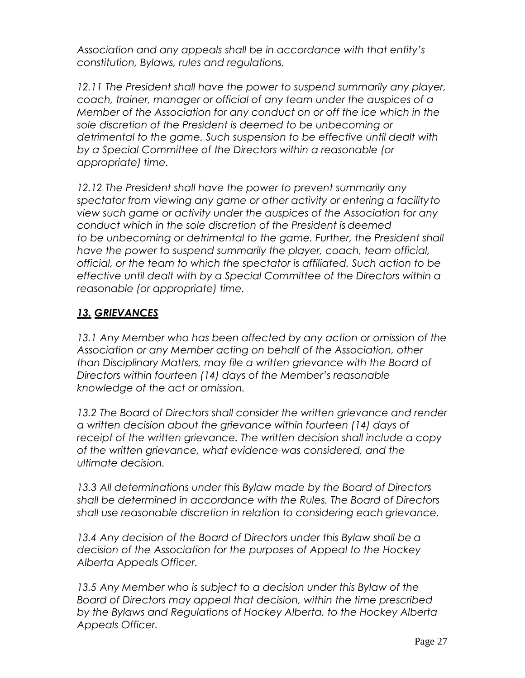*Association and any appeals shall be in accordance with that entity's constitution, Bylaws, rules and regulations.*

*12.11 The President shall have the power to suspend summarily any player, coach, trainer, manager or official of any team under the auspices of a Member of the Association for any conduct on or off the ice which in the sole discretion of the President is deemed to be unbecoming or detrimental to the game. Such suspension to be effective until dealt with by a Special Committee of the Directors within a reasonable (or appropriate) time.*

*12.12 The President shall have the power to prevent summarily any spectator from viewing any game or other activity or entering a facilityto view such game or activity under the auspices of the Association for any conduct which in the sole discretion of the President is deemed* to be unbecoming or detrimental to the game. Further, the President shall *have the power to suspend summarily the player, coach, team official, official, or the team to which the spectator is affiliated. Such action to be effective until dealt with by a Special Committee of the Directors within a reasonable (or appropriate) time.*

# *13. GRIEVANCES*

*13.1 Any Member who has been affected by any action or omission of the Association or any Member acting on behalf of the Association, other than Disciplinary Matters, may file a written grievance with the Board of Directors within fourteen (14) days of the Member's reasonable knowledge of the act or omission.*

*13.2 The Board of Directors shall consider the written grievance and render a written decision about the grievance within fourteen (14) days of receipt of the written grievance. The written decision shall include a copy of the written grievance, what evidence was considered, and the ultimate decision.*

*13.3 All determinations under this Bylaw made by the Board of Directors shall be determined in accordance with the Rules. The Board of Directors shall use reasonable discretion in relation to considering each grievance.*

*13.4 Any decision of the Board of Directors under this Bylaw shall be a decision of the Association for the purposes of Appeal to the Hockey Alberta Appeals Officer.*

*13.5 Any Member who is subject to a decision under this Bylaw of the Board of Directors may appeal that decision, within the time prescribed by the Bylaws and Regulations of Hockey Alberta, to the Hockey Alberta Appeals Officer.*